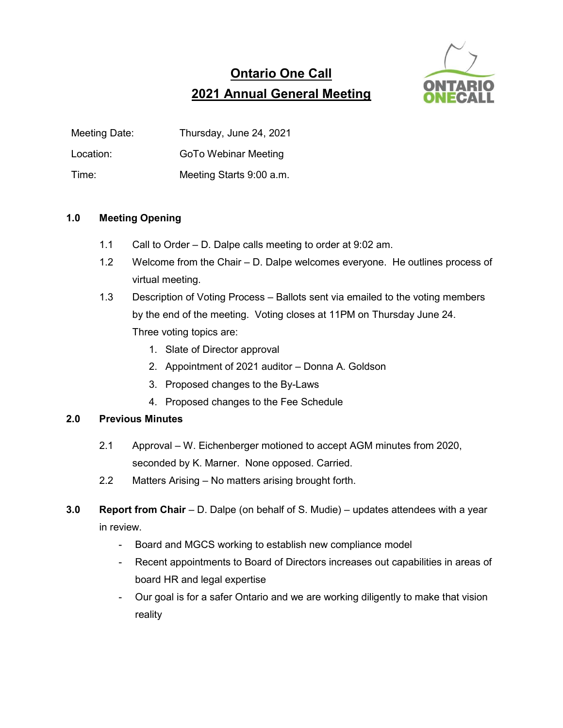# **Ontario One Call** 2021 Annual General Meeting

| Meeting Date: | Thursday, June 24, 2021 |
|---------------|-------------------------|
|---------------|-------------------------|

Location: GoTo Webinar Meeting

Time: Meeting Starts 9:00 a.m.

# 1.0 Meeting Opening

- 1.1 Call to Order D. Dalpe calls meeting to order at 9:02 am.
- 1.2 Welcome from the Chair D. Dalpe welcomes everyone. He outlines process of virtual meeting.
- 1.3 Description of Voting Process Ballots sent via emailed to the voting members by the end of the meeting. Voting closes at 11PM on Thursday June 24. Three voting topics are:
	- 1. Slate of Director approval
	- 2. Appointment of 2021 auditor Donna A. Goldson
	- 3. Proposed changes to the By-Laws
	- 4. Proposed changes to the Fee Schedule

# 2.0 Previous Minutes

- 2.1 Approval W. Eichenberger motioned to accept AGM minutes from 2020, seconded by K. Marner. None opposed. Carried.
- 2.2 Matters Arising No matters arising brought forth.
- 3.0 Report from Chair  $-$  D. Dalpe (on behalf of S. Mudie)  $-$  updates attendees with a year in review.
	- Board and MGCS working to establish new compliance model
	- Recent appointments to Board of Directors increases out capabilities in areas of board HR and legal expertise
	- Our goal is for a safer Ontario and we are working diligently to make that vision reality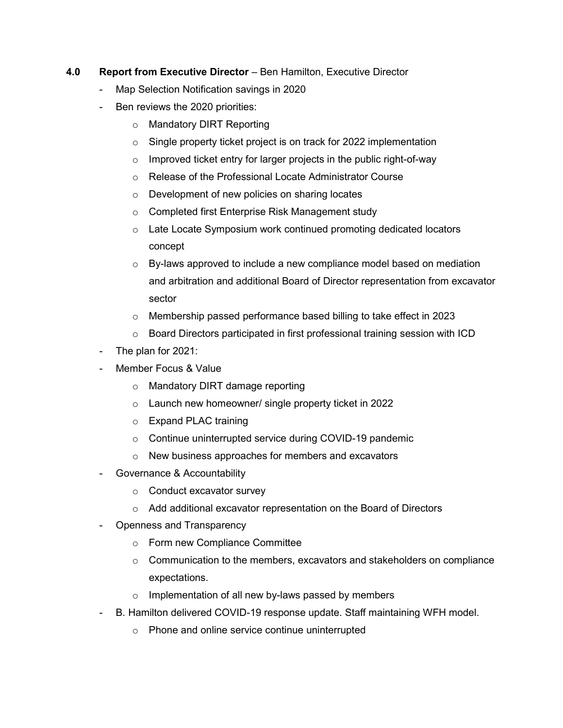#### 4.0 Report from Executive Director – Ben Hamilton, Executive Director

- Map Selection Notification savings in 2020
- Ben reviews the 2020 priorities:
	- o Mandatory DIRT Reporting
	- $\circ$  Single property ticket project is on track for 2022 implementation
	- $\circ$  Improved ticket entry for larger projects in the public right-of-way
	- o Release of the Professional Locate Administrator Course
	- o Development of new policies on sharing locates
	- o Completed first Enterprise Risk Management study
	- o Late Locate Symposium work continued promoting dedicated locators concept
	- $\circ$  By-laws approved to include a new compliance model based on mediation and arbitration and additional Board of Director representation from excavator sector
	- o Membership passed performance based billing to take effect in 2023
	- o Board Directors participated in first professional training session with ICD
- The plan for 2021:
- Member Focus & Value
	- o Mandatory DIRT damage reporting
	- o Launch new homeowner/ single property ticket in 2022
	- o Expand PLAC training
	- o Continue uninterrupted service during COVID-19 pandemic
	- o New business approaches for members and excavators
- Governance & Accountability
	- o Conduct excavator survey
	- o Add additional excavator representation on the Board of Directors
- Openness and Transparency
	- o Form new Compliance Committee
	- o Communication to the members, excavators and stakeholders on compliance expectations.
	- $\circ$  Implementation of all new by-laws passed by members
- B. Hamilton delivered COVID-19 response update. Staff maintaining WFH model.
	- o Phone and online service continue uninterrupted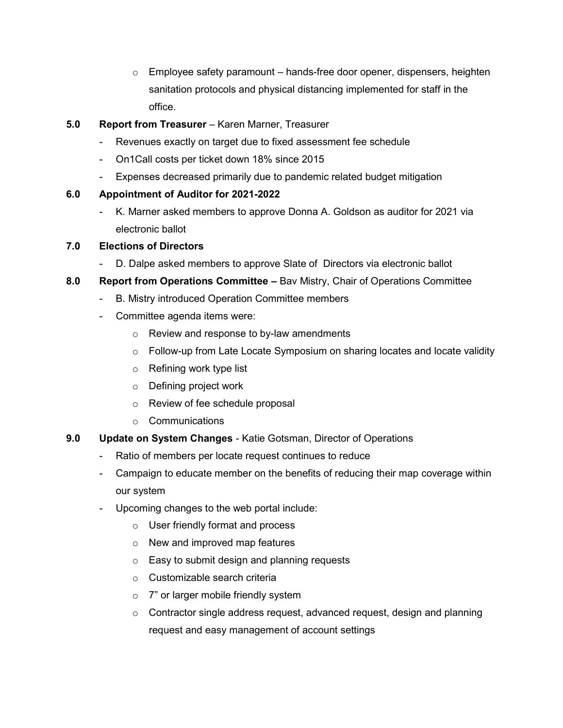$\circ$  Employee safety paramount – hands-free door opener, dispensers, heighten sanitation protocols and physical distancing implemented for staff in the office.

### 5.0 Report from Treasurer – Karen Marner, Treasurer

- Revenues exactly on target due to fixed assessment fee schedule
- On1Call costs per ticket down 18% since 2015
- Expenses decreased primarily due to pandemic related budget mitigation

# 6.0 Appointment of Auditor for 2021-2022

- K. Marner asked members to approve Donna A. Goldson as auditor for 2021 via electronic ballot

# 7.0 Elections of Directors

- D. Dalpe asked members to approve Slate of Directors via electronic ballot
- 8.0 Report from Operations Committee Bay Mistry, Chair of Operations Committee
	- B. Mistry introduced Operation Committee members
	- Committee agenda items were:
		- o Review and response to by-law amendments
		- $\circ$  Follow-up from Late Locate Symposium on sharing locates and locate validity
		- o Refining work type list
		- o Defining project work
		- o Review of fee schedule proposal
		- o Communications
- 9.0 Update on System Changes Katie Gotsman, Director of Operations
	- Ratio of members per locate request continues to reduce
	- Campaign to educate member on the benefits of reducing their map coverage within our system
	- Upcoming changes to the web portal include:
		- o User friendly format and process
		- o New and improved map features
		- o Easy to submit design and planning requests
		- o Customizable search criteria
		- o 7" or larger mobile friendly system
		- $\circ$  Contractor single address request, advanced request, design and planning request and easy management of account settings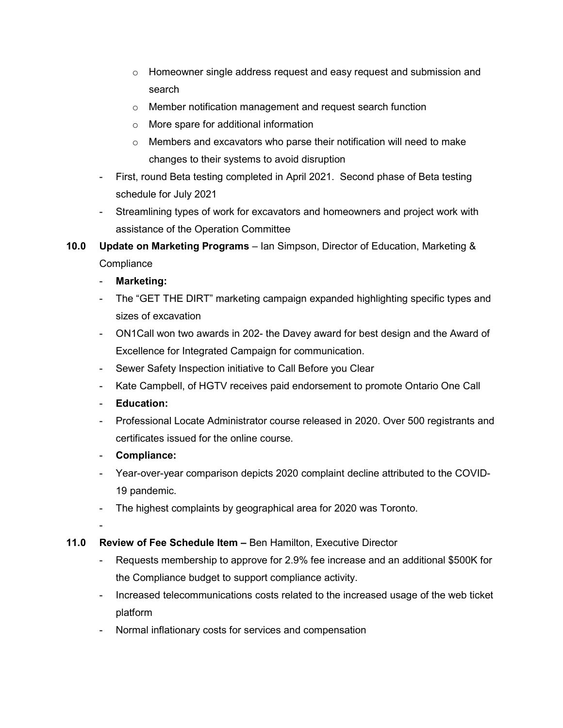- $\circ$  Homeowner single address request and easy request and submission and search
- o Member notification management and request search function
- o More spare for additional information
- o Members and excavators who parse their notification will need to make changes to their systems to avoid disruption
- First, round Beta testing completed in April 2021. Second phase of Beta testing schedule for July 2021
- Streamlining types of work for excavators and homeowners and project work with assistance of the Operation Committee
- 10.0 Update on Marketing Programs Ian Simpson, Director of Education, Marketing & **Compliance** 
	- Marketing:
	- The "GET THE DIRT" marketing campaign expanded highlighting specific types and sizes of excavation
	- ON1Call won two awards in 202- the Davey award for best design and the Award of Excellence for Integrated Campaign for communication.
	- Sewer Safety Inspection initiative to Call Before you Clear
	- Kate Campbell, of HGTV receives paid endorsement to promote Ontario One Call
	- Education:
	- Professional Locate Administrator course released in 2020. Over 500 registrants and certificates issued for the online course.
	- Compliance:
	- Year-over-year comparison depicts 2020 complaint decline attributed to the COVID-19 pandemic.
	- The highest complaints by geographical area for 2020 was Toronto.
	-

-

- 11.0 Review of Fee Schedule Item Ben Hamilton, Executive Director
	- Requests membership to approve for 2.9% fee increase and an additional \$500K for the Compliance budget to support compliance activity.
	- Increased telecommunications costs related to the increased usage of the web ticket platform
	- Normal inflationary costs for services and compensation